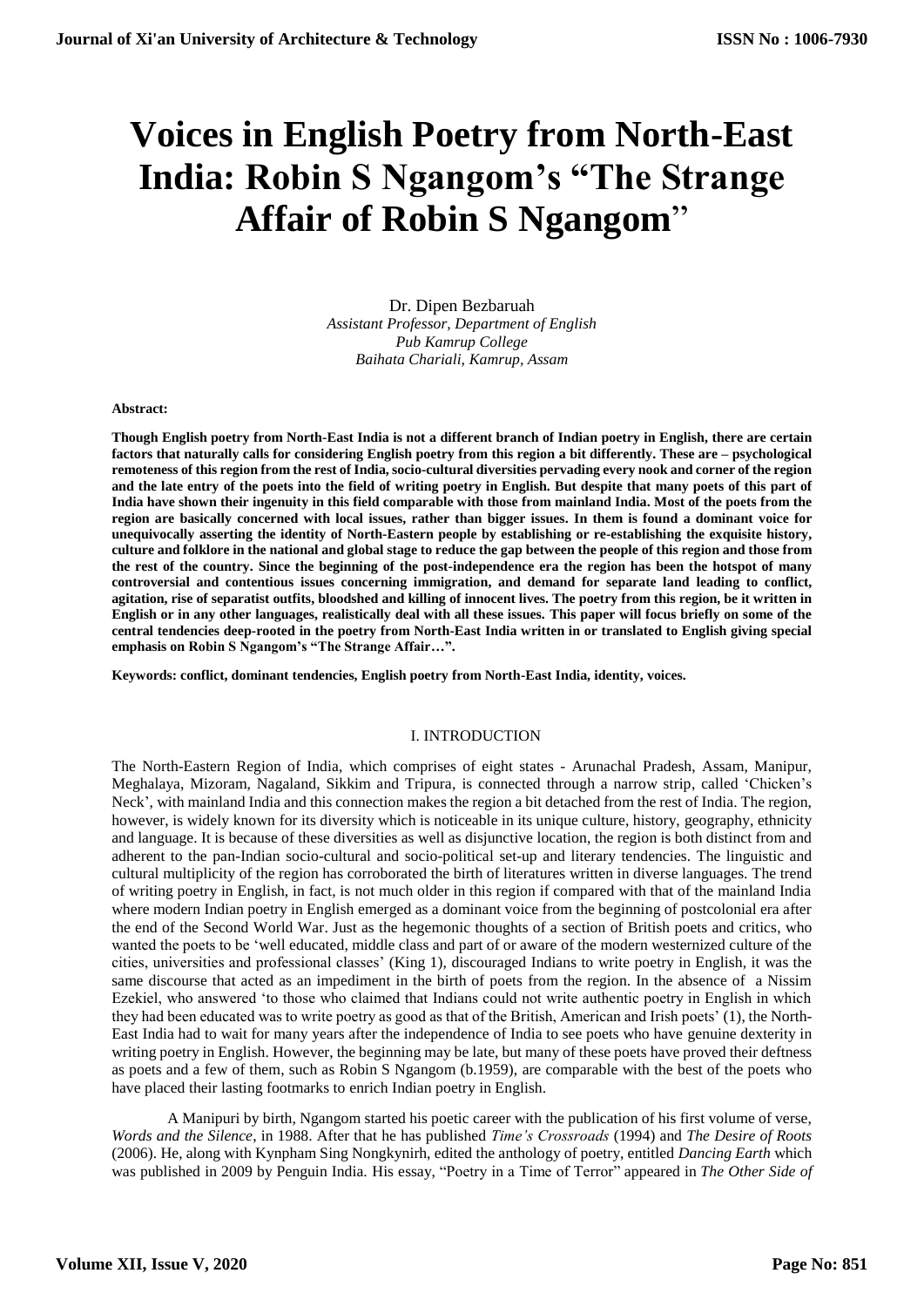# **Voices in English Poetry from North-East India: Robin S Ngangom's "The Strange Affair of Robin S Ngangom**"

Dr. Dipen Bezbaruah *Assistant Professor, Department of English Pub Kamrup College Baihata Chariali, Kamrup, Assam*

#### **Abstract:**

**Though English poetry from North-East India is not a different branch of Indian poetry in English, there are certain factors that naturally calls for considering English poetry from this region a bit differently. These are – psychological remoteness of this region from the rest of India, socio-cultural diversities pervading every nook and corner of the region and the late entry of the poets into the field of writing poetry in English. But despite that many poets of this part of India have shown their ingenuity in this field comparable with those from mainland India. Most of the poets from the region are basically concerned with local issues, rather than bigger issues. In them is found a dominant voice for unequivocally asserting the identity of North-Eastern people by establishing or re-establishing the exquisite history, culture and folklore in the national and global stage to reduce the gap between the people of this region and those from the rest of the country. Since the beginning of the post-independence era the region has been the hotspot of many controversial and contentious issues concerning immigration, and demand for separate land leading to conflict, agitation, rise of separatist outfits, bloodshed and killing of innocent lives. The poetry from this region, be it written in English or in any other languages, realistically deal with all these issues. This paper will focus briefly on some of the central tendencies deep-rooted in the poetry from North-East India written in or translated to English giving special emphasis on Robin S Ngangom's "The Strange Affair…".** 

**Keywords: conflict, dominant tendencies, English poetry from North-East India, identity, voices.**

# I. INTRODUCTION

The North-Eastern Region of India, which comprises of eight states - Arunachal Pradesh, Assam, Manipur, Meghalaya, Mizoram, Nagaland, Sikkim and Tripura, is connected through a narrow strip, called 'Chicken's Neck', with mainland India and this connection makes the region a bit detached from the rest of India. The region, however, is widely known for its diversity which is noticeable in its unique culture, history, geography, ethnicity and language. It is because of these diversities as well as disjunctive location, the region is both distinct from and adherent to the pan-Indian socio-cultural and socio-political set-up and literary tendencies. The linguistic and cultural multiplicity of the region has corroborated the birth of literatures written in diverse languages. The trend of writing poetry in English, in fact, is not much older in this region if compared with that of the mainland India where modern Indian poetry in English emerged as a dominant voice from the beginning of postcolonial era after the end of the Second World War. Just as the hegemonic thoughts of a section of British poets and critics, who wanted the poets to be 'well educated, middle class and part of or aware of the modern westernized culture of the cities, universities and professional classes' (King 1), discouraged Indians to write poetry in English, it was the same discourse that acted as an impediment in the birth of poets from the region. In the absence of a Nissim Ezekiel, who answered 'to those who claimed that Indians could not write authentic poetry in English in which they had been educated was to write poetry as good as that of the British, American and Irish poets' (1), the North-East India had to wait for many years after the independence of India to see poets who have genuine dexterity in writing poetry in English. However, the beginning may be late, but many of these poets have proved their deftness as poets and a few of them, such as Robin S Ngangom (b.1959), are comparable with the best of the poets who have placed their lasting footmarks to enrich Indian poetry in English.

A Manipuri by birth, Ngangom started his poetic career with the publication of his first volume of verse, *Words and the Silence*, in 1988. After that he has published *Time's Crossroads* (1994) and *The Desire of Roots*  (2006). He, along with Kynpham Sing Nongkynirh, edited the anthology of poetry, entitled *Dancing Earth* which was published in 2009 by Penguin India. His essay, "Poetry in a Time of Terror" appeared in *The Other Side of*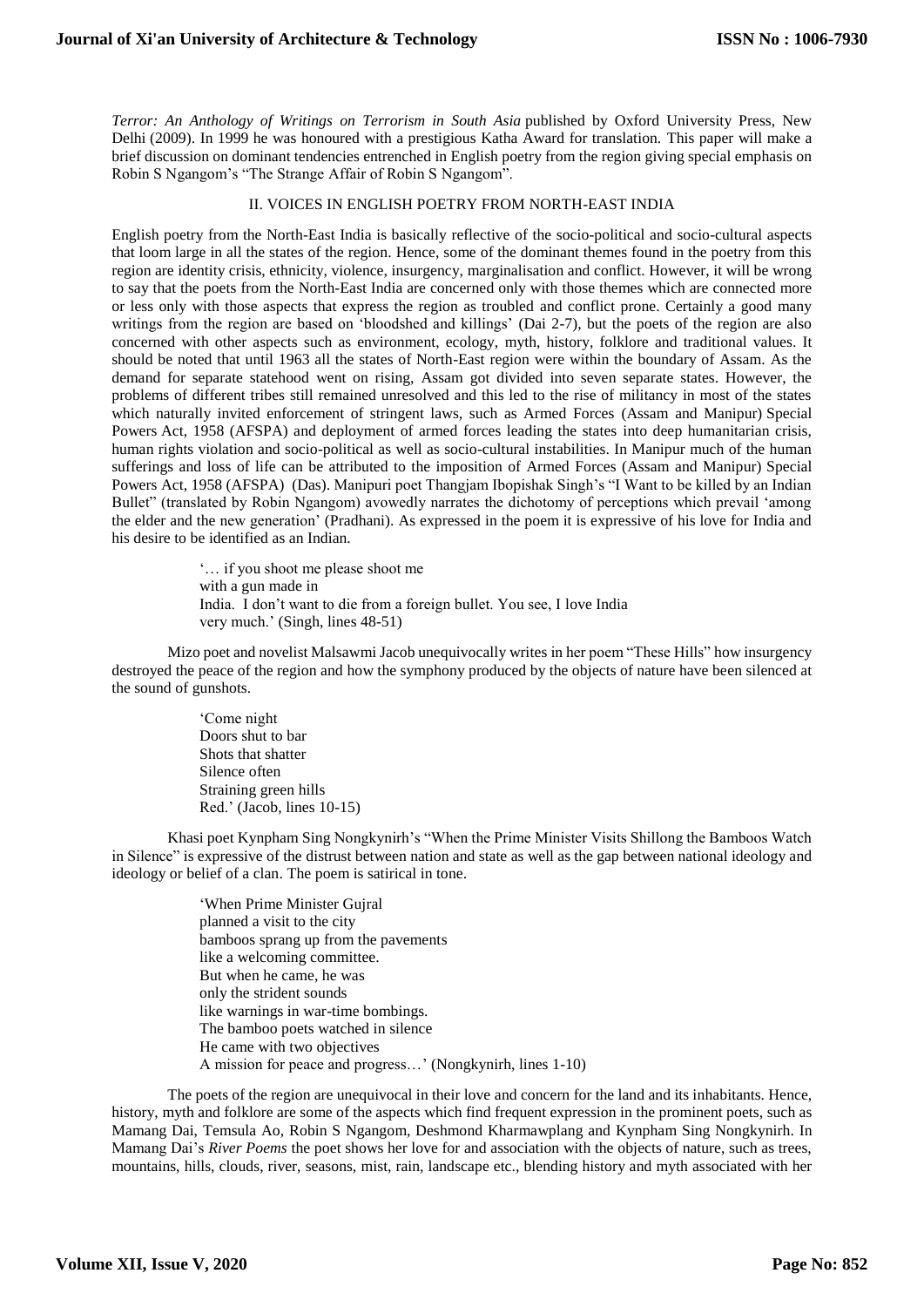*Terror: An Anthology of Writings on Terrorism in South Asia* published by Oxford University Press, New Delhi (2009). In 1999 he was honoured with a prestigious Katha Award for translation. This paper will make a brief discussion on dominant tendencies entrenched in English poetry from the region giving special emphasis on Robin S Ngangom's "The Strange Affair of Robin S Ngangom".

### II. VOICES IN ENGLISH POETRY FROM NORTH-EAST INDIA

English poetry from the North-East India is basically reflective of the socio-political and socio-cultural aspects that loom large in all the states of the region. Hence, some of the dominant themes found in the poetry from this region are identity crisis, ethnicity, violence, insurgency, marginalisation and conflict. However, it will be wrong to say that the poets from the North-East India are concerned only with those themes which are connected more or less only with those aspects that express the region as troubled and conflict prone. Certainly a good many writings from the region are based on 'bloodshed and killings' (Dai 2-7), but the poets of the region are also concerned with other aspects such as environment, ecology, myth, history, folklore and traditional values. It should be noted that until 1963 all the states of North-East region were within the boundary of Assam. As the demand for separate statehood went on rising, Assam got divided into seven separate states. However, the problems of different tribes still remained unresolved and this led to the rise of militancy in most of the states which naturally invited enforcement of stringent laws, such as Armed Forces (Assam and Manipur) Special Powers Act, 1958 (AFSPA) and deployment of armed forces leading the states into deep humanitarian crisis, human rights violation and socio-political as well as socio-cultural instabilities. In Manipur much of the human sufferings and loss of life can be attributed to the imposition of Armed Forces (Assam and Manipur) Special Powers Act, 1958 (AFSPA) (Das). Manipuri poet Thangjam Ibopishak Singh's "I Want to be killed by an Indian Bullet" (translated by Robin Ngangom) avowedly narrates the dichotomy of perceptions which prevail 'among the elder and the new generation' (Pradhani). As expressed in the poem it is expressive of his love for India and his desire to be identified as an Indian.

> '… if you shoot me please shoot me with a gun made in India. I don't want to die from a foreign bullet. You see, I love India very much.' (Singh, lines 48-51)

Mizo poet and novelist Malsawmi Jacob unequivocally writes in her poem "These Hills" how insurgency destroyed the peace of the region and how the symphony produced by the objects of nature have been silenced at the sound of gunshots.

> 'Come night Doors shut to bar Shots that shatter Silence often Straining green hills Red.' (Jacob, lines 10-15)

Khasi poet Kynpham Sing Nongkynirh's "When the Prime Minister Visits Shillong the Bamboos Watch in Silence" is expressive of the distrust between nation and state as well as the gap between national ideology and ideology or belief of a clan. The poem is satirical in tone.

> 'When Prime Minister Gujral planned a visit to the city bamboos sprang up from the pavements like a welcoming committee. But when he came, he was only the strident sounds like warnings in war-time bombings. The bamboo poets watched in silence He came with two objectives A mission for peace and progress…' (Nongkynirh, lines 1-10)

The poets of the region are unequivocal in their love and concern for the land and its inhabitants. Hence, history, myth and folklore are some of the aspects which find frequent expression in the prominent poets, such as Mamang Dai, Temsula Ao, Robin S Ngangom, Deshmond Kharmawplang and Kynpham Sing Nongkynirh. In Mamang Dai's *River Poems* the poet shows her love for and association with the objects of nature, such as trees, mountains, hills, clouds, river, seasons, mist, rain, landscape etc., blending history and myth associated with her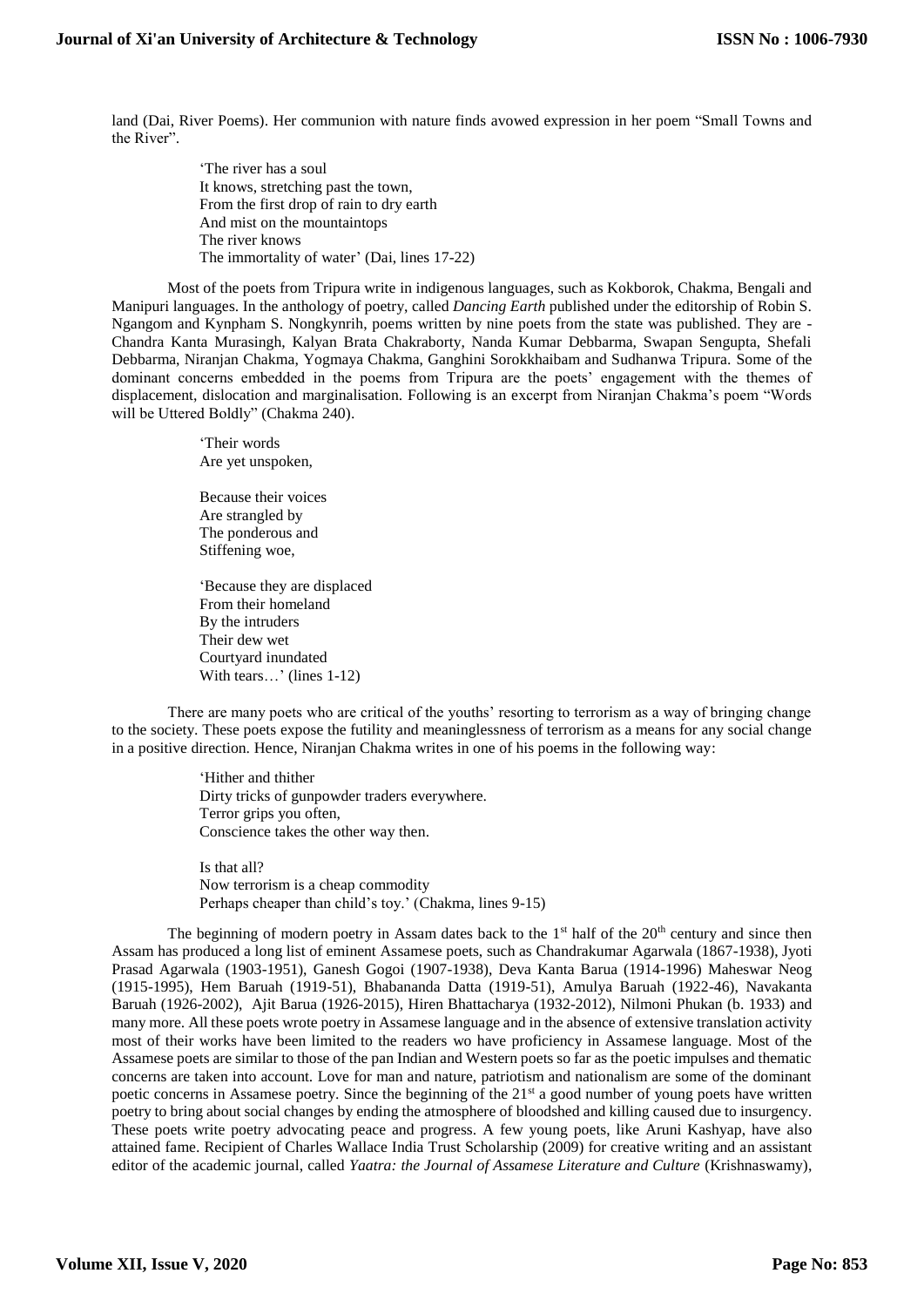land (Dai, River Poems). Her communion with nature finds avowed expression in her poem "Small Towns and the River".

> 'The river has a soul It knows, stretching past the town, From the first drop of rain to dry earth And mist on the mountaintops The river knows The immortality of water' (Dai, lines 17-22)

Most of the poets from Tripura write in indigenous languages, such as Kokborok, Chakma, Bengali and Manipuri languages. In the anthology of poetry, called *Dancing Earth* published under the editorship of Robin S. Ngangom and Kynpham S. Nongkynrih, poems written by nine poets from the state was published. They are - Chandra Kanta Murasingh, Kalyan Brata Chakraborty, Nanda Kumar Debbarma, Swapan Sengupta, Shefali Debbarma, Niranjan Chakma, Yogmaya Chakma, Ganghini Sorokkhaibam and Sudhanwa Tripura. Some of the dominant concerns embedded in the poems from Tripura are the poets' engagement with the themes of displacement, dislocation and marginalisation. Following is an excerpt from Niranjan Chakma's poem "Words will be Uttered Boldly" (Chakma 240).

> 'Their words Are yet unspoken,

Because their voices Are strangled by The ponderous and Stiffening woe,

'Because they are displaced From their homeland By the intruders Their dew wet Courtyard inundated With tears...' (lines 1-12)

There are many poets who are critical of the youths' resorting to terrorism as a way of bringing change to the society. These poets expose the futility and meaninglessness of terrorism as a means for any social change in a positive direction. Hence, Niranjan Chakma writes in one of his poems in the following way:

> 'Hither and thither Dirty tricks of gunpowder traders everywhere. Terror grips you often, Conscience takes the other way then.

Is that all? Now terrorism is a cheap commodity Perhaps cheaper than child's toy.' (Chakma, lines 9-15)

The beginning of modern poetry in Assam dates back to the  $1<sup>st</sup>$  half of the  $20<sup>th</sup>$  century and since then Assam has produced a long list of eminent Assamese poets, such as Chandrakumar Agarwala (1867-1938), Jyoti Prasad Agarwala (1903-1951), Ganesh Gogoi (1907-1938), Deva Kanta Barua (1914-1996) Maheswar Neog (1915-1995), Hem Baruah (1919-51), Bhabananda Datta (1919-51), Amulya Baruah (1922-46), Navakanta Baruah (1926-2002), Ajit Barua (1926-2015), Hiren Bhattacharya (1932-2012), Nilmoni Phukan (b. 1933) and many more. All these poets wrote poetry in Assamese language and in the absence of extensive translation activity most of their works have been limited to the readers wo have proficiency in Assamese language. Most of the Assamese poets are similar to those of the pan Indian and Western poets so far as the poetic impulses and thematic concerns are taken into account. Love for man and nature, patriotism and nationalism are some of the dominant poetic concerns in Assamese poetry. Since the beginning of the 21<sup>st</sup> a good number of young poets have written poetry to bring about social changes by ending the atmosphere of bloodshed and killing caused due to insurgency. These poets write poetry advocating peace and progress. A few young poets, like Aruni Kashyap, have also attained fame. Recipient of Charles Wallace India Trust Scholarship (2009) for creative writing and an assistant editor of the academic journal, called *Yaatra: the Journal of Assamese Literature and Culture* (Krishnaswamy),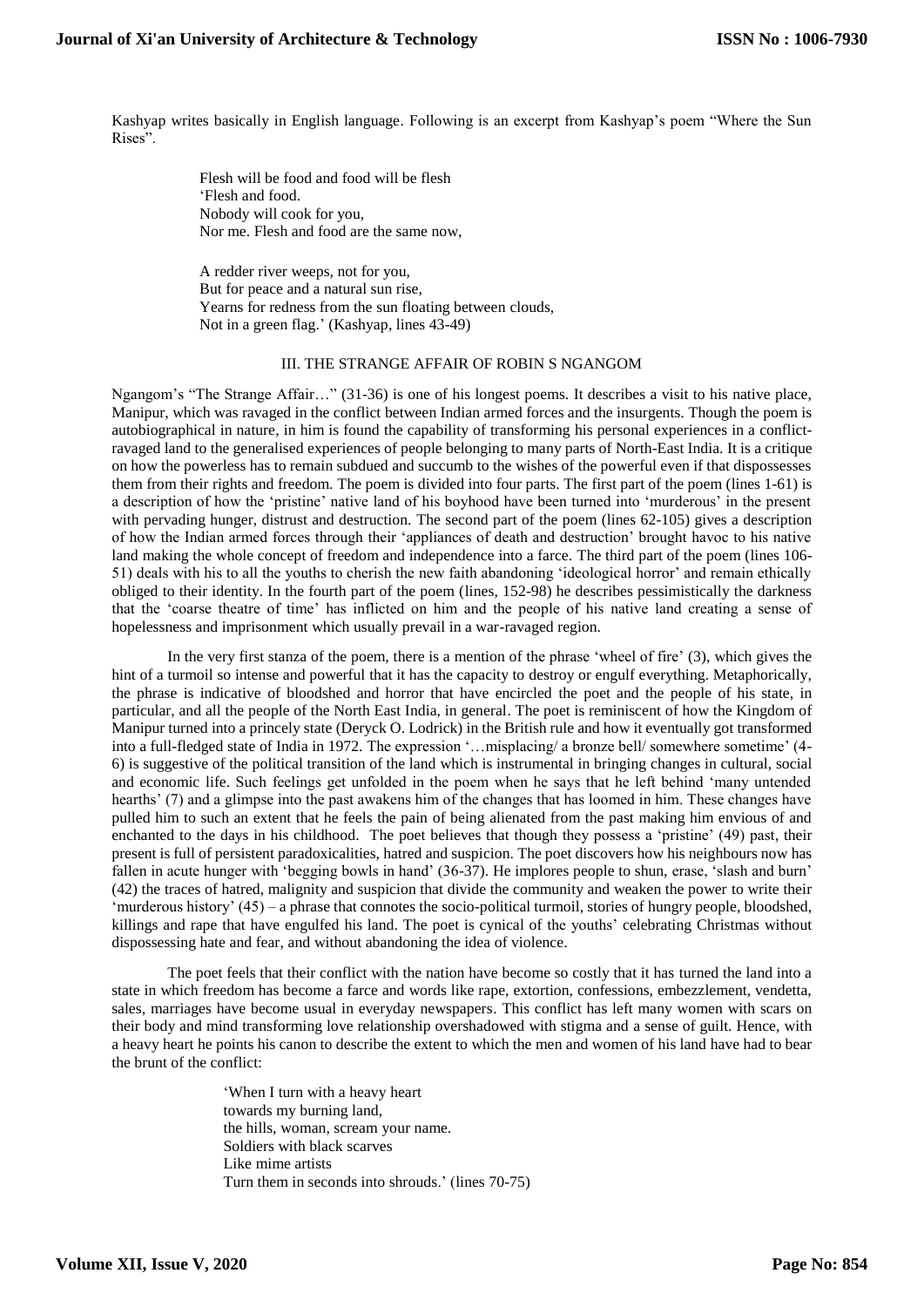Kashyap writes basically in English language. Following is an excerpt from Kashyap's poem "Where the Sun Rises".

> Flesh will be food and food will be flesh 'Flesh and food. Nobody will cook for you, Nor me. Flesh and food are the same now,

A redder river weeps, not for you, But for peace and a natural sun rise, Yearns for redness from the sun floating between clouds, Not in a green flag.' (Kashyap, lines 43-49)

# III. THE STRANGE AFFAIR OF ROBIN S NGANGOM

Ngangom's "The Strange Affair…" (31-36) is one of his longest poems. It describes a visit to his native place, Manipur, which was ravaged in the conflict between Indian armed forces and the insurgents. Though the poem is autobiographical in nature, in him is found the capability of transforming his personal experiences in a conflictravaged land to the generalised experiences of people belonging to many parts of North-East India. It is a critique on how the powerless has to remain subdued and succumb to the wishes of the powerful even if that dispossesses them from their rights and freedom. The poem is divided into four parts. The first part of the poem (lines 1-61) is a description of how the 'pristine' native land of his boyhood have been turned into 'murderous' in the present with pervading hunger, distrust and destruction. The second part of the poem (lines 62-105) gives a description of how the Indian armed forces through their 'appliances of death and destruction' brought havoc to his native land making the whole concept of freedom and independence into a farce. The third part of the poem (lines 106- 51) deals with his to all the youths to cherish the new faith abandoning 'ideological horror' and remain ethically obliged to their identity. In the fourth part of the poem (lines, 152-98) he describes pessimistically the darkness that the 'coarse theatre of time' has inflicted on him and the people of his native land creating a sense of hopelessness and imprisonment which usually prevail in a war-ravaged region.

In the very first stanza of the poem, there is a mention of the phrase 'wheel of fire' (3), which gives the hint of a turmoil so intense and powerful that it has the capacity to destroy or engulf everything. Metaphorically, the phrase is indicative of bloodshed and horror that have encircled the poet and the people of his state, in particular, and all the people of the North East India, in general. The poet is reminiscent of how the Kingdom of Manipur turned into a princely state (Deryck O. Lodrick) in the British rule and how it eventually got transformed into a full-fledged state of India in 1972. The expression '…misplacing/ a bronze bell/ somewhere sometime' (4- 6) is suggestive of the political transition of the land which is instrumental in bringing changes in cultural, social and economic life. Such feelings get unfolded in the poem when he says that he left behind 'many untended hearths' (7) and a glimpse into the past awakens him of the changes that has loomed in him. These changes have pulled him to such an extent that he feels the pain of being alienated from the past making him envious of and enchanted to the days in his childhood. The poet believes that though they possess a 'pristine' (49) past, their present is full of persistent paradoxicalities, hatred and suspicion. The poet discovers how his neighbours now has fallen in acute hunger with 'begging bowls in hand' (36-37). He implores people to shun, erase, 'slash and burn' (42) the traces of hatred, malignity and suspicion that divide the community and weaken the power to write their 'murderous history' (45) – a phrase that connotes the socio-political turmoil, stories of hungry people, bloodshed, killings and rape that have engulfed his land. The poet is cynical of the youths' celebrating Christmas without dispossessing hate and fear, and without abandoning the idea of violence.

The poet feels that their conflict with the nation have become so costly that it has turned the land into a state in which freedom has become a farce and words like rape, extortion, confessions, embezzlement, vendetta, sales, marriages have become usual in everyday newspapers. This conflict has left many women with scars on their body and mind transforming love relationship overshadowed with stigma and a sense of guilt. Hence, with a heavy heart he points his canon to describe the extent to which the men and women of his land have had to bear the brunt of the conflict:

> 'When I turn with a heavy heart towards my burning land, the hills, woman, scream your name. Soldiers with black scarves Like mime artists Turn them in seconds into shrouds.' (lines 70-75)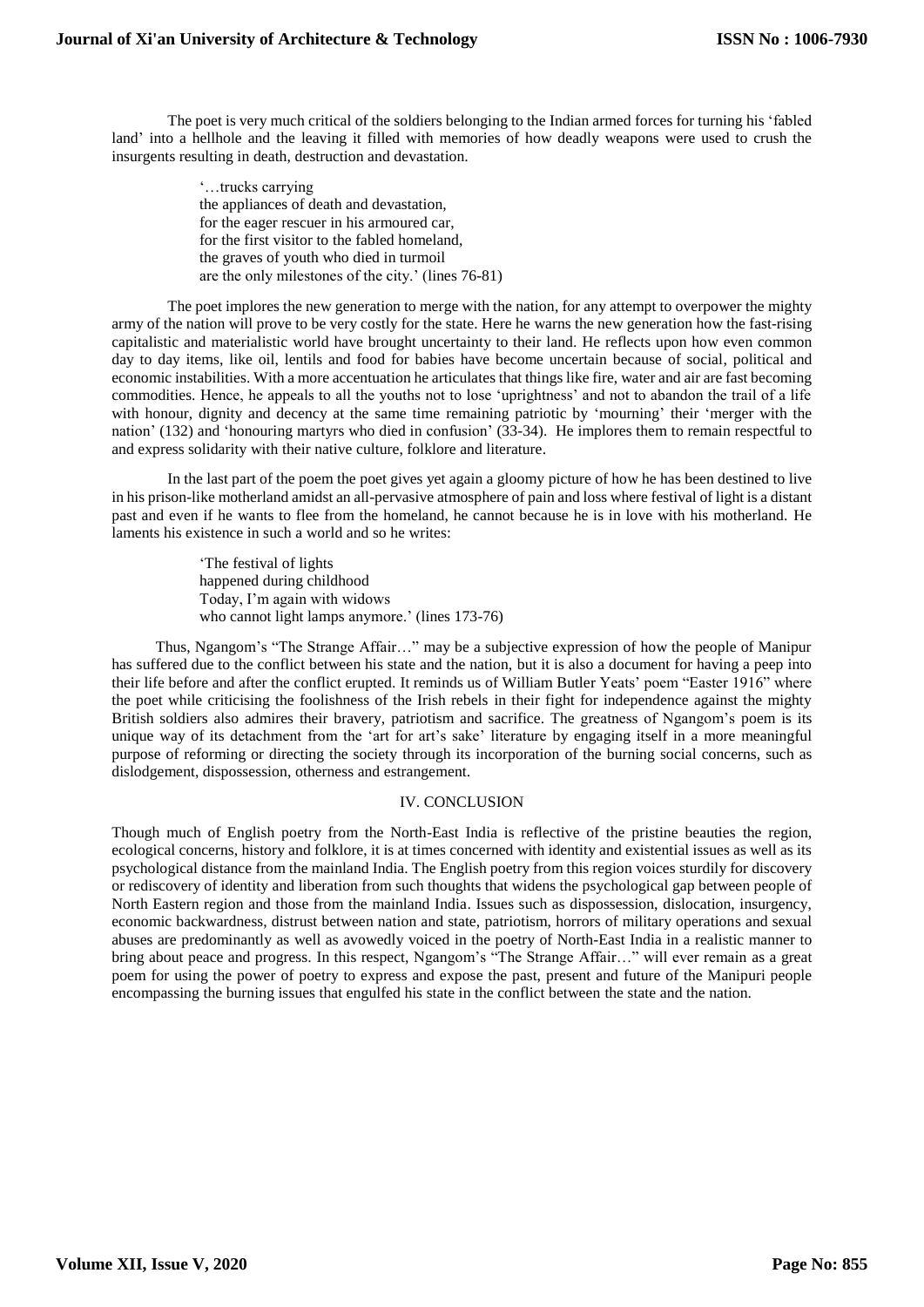The poet is very much critical of the soldiers belonging to the Indian armed forces for turning his 'fabled land' into a hellhole and the leaving it filled with memories of how deadly weapons were used to crush the insurgents resulting in death, destruction and devastation.

> '…trucks carrying the appliances of death and devastation, for the eager rescuer in his armoured car, for the first visitor to the fabled homeland, the graves of youth who died in turmoil are the only milestones of the city.' (lines 76-81)

The poet implores the new generation to merge with the nation, for any attempt to overpower the mighty army of the nation will prove to be very costly for the state. Here he warns the new generation how the fast-rising capitalistic and materialistic world have brought uncertainty to their land. He reflects upon how even common day to day items, like oil, lentils and food for babies have become uncertain because of social, political and economic instabilities. With a more accentuation he articulates that things like fire, water and air are fast becoming commodities. Hence, he appeals to all the youths not to lose 'uprightness' and not to abandon the trail of a life with honour, dignity and decency at the same time remaining patriotic by 'mourning' their 'merger with the nation' (132) and 'honouring martyrs who died in confusion' (33-34). He implores them to remain respectful to and express solidarity with their native culture, folklore and literature.

In the last part of the poem the poet gives yet again a gloomy picture of how he has been destined to live in his prison-like motherland amidst an all-pervasive atmosphere of pain and loss where festival of light is a distant past and even if he wants to flee from the homeland, he cannot because he is in love with his motherland. He laments his existence in such a world and so he writes:

> 'The festival of lights happened during childhood Today, I'm again with widows who cannot light lamps anymore.' (lines 173-76)

Thus, Ngangom's "The Strange Affair…" may be a subjective expression of how the people of Manipur has suffered due to the conflict between his state and the nation, but it is also a document for having a peep into their life before and after the conflict erupted. It reminds us of William Butler Yeats' poem "Easter 1916" where the poet while criticising the foolishness of the Irish rebels in their fight for independence against the mighty British soldiers also admires their bravery, patriotism and sacrifice. The greatness of Ngangom's poem is its unique way of its detachment from the 'art for art's sake' literature by engaging itself in a more meaningful purpose of reforming or directing the society through its incorporation of the burning social concerns, such as dislodgement, dispossession, otherness and estrangement.

#### IV. CONCLUSION

Though much of English poetry from the North-East India is reflective of the pristine beauties the region, ecological concerns, history and folklore, it is at times concerned with identity and existential issues as well as its psychological distance from the mainland India. The English poetry from this region voices sturdily for discovery or rediscovery of identity and liberation from such thoughts that widens the psychological gap between people of North Eastern region and those from the mainland India. Issues such as dispossession, dislocation, insurgency, economic backwardness, distrust between nation and state, patriotism, horrors of military operations and sexual abuses are predominantly as well as avowedly voiced in the poetry of North-East India in a realistic manner to bring about peace and progress. In this respect, Ngangom's "The Strange Affair…" will ever remain as a great poem for using the power of poetry to express and expose the past, present and future of the Manipuri people encompassing the burning issues that engulfed his state in the conflict between the state and the nation.